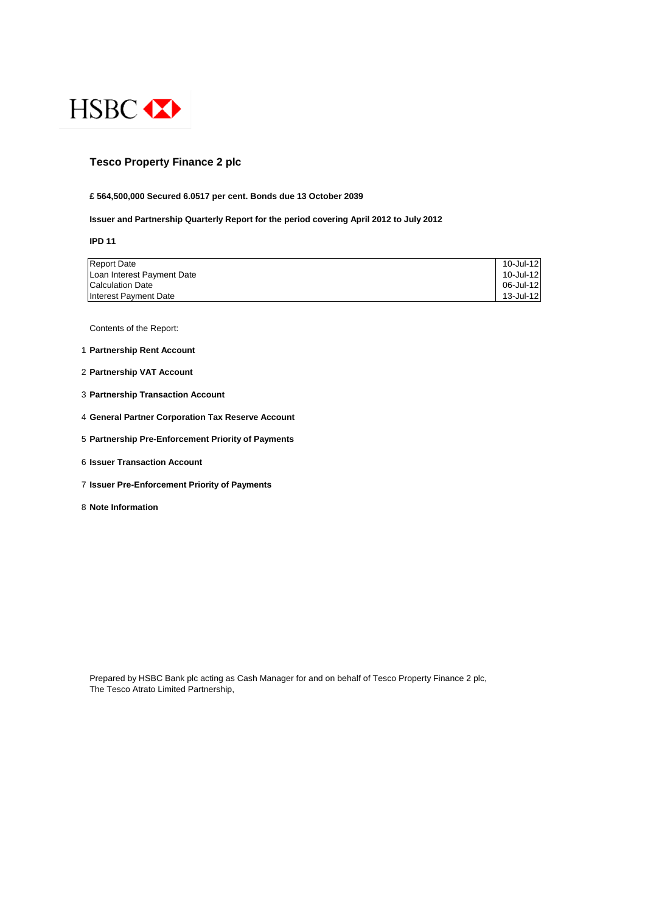

#### **Tesco Property Finance 2 plc**

#### **£ 564,500,000 Secured 6.0517 per cent. Bonds due 13 October 2039**

#### **Issuer and Partnership Quarterly Report for the period covering April 2012 to July 2012**

**IPD 11**

| <b>Report Date</b>         | 10-Jul-12 |
|----------------------------|-----------|
| Loan Interest Payment Date | 10-Jul-12 |
| Calculation Date           | 06-Jul-12 |
| Interest Payment Date      | 13-Jul-12 |

Contents of the Report:

- 1 **Partnership Rent Account**
- 2 **Partnership VAT Account**
- 3 **Partnership Transaction Account**
- 4 **General Partner Corporation Tax Reserve Account**
- 5 **Partnership Pre-Enforcement Priority of Payments**
- 6 **Issuer Transaction Account**
- 7 **Issuer Pre-Enforcement Priority of Payments**
- 8 **Note Information**

Prepared by HSBC Bank plc acting as Cash Manager for and on behalf of Tesco Property Finance 2 plc, The Tesco Atrato Limited Partnership,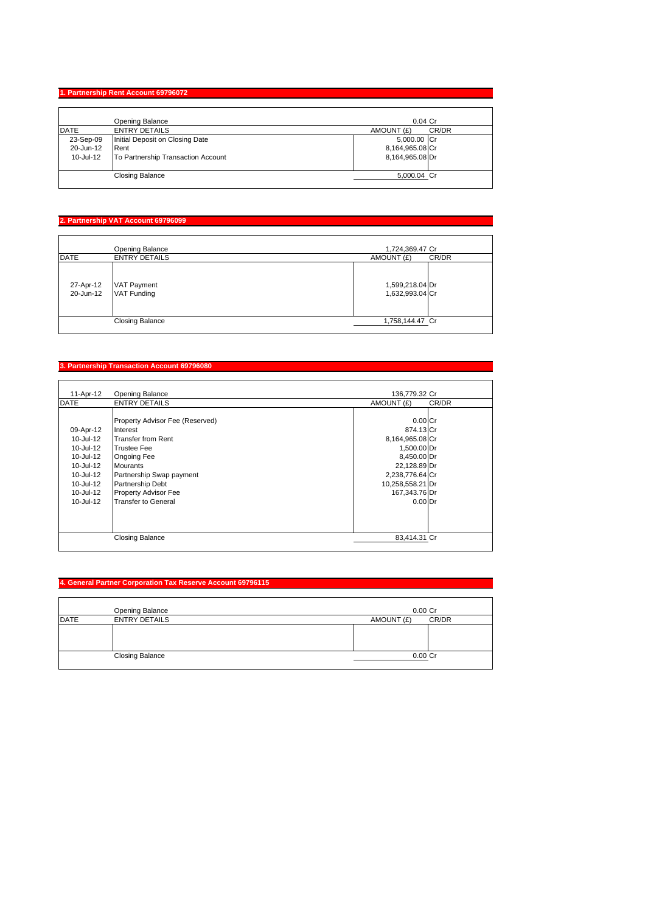## **1. Partnership Rent Account 69796072**

|             | Opening Balance                    | $0.04$ Cr           |
|-------------|------------------------------------|---------------------|
| <b>DATE</b> | <b>ENTRY DETAILS</b>               | CR/DR<br>AMOUNT (£) |
| 23-Sep-09   | Initial Deposit on Closing Date    | 5,000.00 Cr         |
| 20-Jun-12   | Rent                               | 8,164,965.08 Cr     |
| 10-Jul-12   | To Partnership Transaction Account | 8,164,965.08 Dr     |
|             | <b>Closing Balance</b>             | 5,000.04 Cr         |

## **2. Partnership VAT Account 69796099**

|                        | Opening Balance                          | 1,724,369.47 Cr                    |
|------------------------|------------------------------------------|------------------------------------|
| <b>DATE</b>            | <b>ENTRY DETAILS</b>                     | CR/DR<br>AMOUNT (£)                |
| 27-Apr-12<br>20-Jun-12 | <b>VAT Payment</b><br><b>VAT Funding</b> | 1,599,218.04 Dr<br>1,632,993.04 Cr |
|                        | <b>Closing Balance</b>                   | 1,758,144.47 Cr                    |

## **3. Partnership Transaction Account 69796080**

| 11-Apr-12     | <b>Opening Balance</b>          | 136,779.32 Cr       |
|---------------|---------------------------------|---------------------|
| <b>DATE</b>   | <b>ENTRY DETAILS</b>            | AMOUNT (£)<br>CR/DR |
|               |                                 |                     |
|               | Property Advisor Fee (Reserved) | $0.00$ Cr           |
| 09-Apr-12     | Interest                        | 874.13 Cr           |
| $10 -$ Jul-12 | Transfer from Rent              | 8,164,965.08 Cr     |
| $10 -$ Jul-12 | <b>Trustee Fee</b>              | 1,500.00 Dr         |
| $10 -$ Jul-12 | <b>Ongoing Fee</b>              | 8,450.00 Dr         |
| 10-Jul-12     | <b>Mourants</b>                 | 22,128.89 Dr        |
| 10-Jul-12     | Partnership Swap payment        | 2,238,776.64 Cr     |
| 10-Jul-12     | Partnership Debt                | 10,258,558.21 Dr    |
| 10-Jul-12     | <b>Property Advisor Fee</b>     | 167,343.76 Dr       |
| $10 -$ Jul-12 | <b>Transfer to General</b>      | $0.00$ Dr           |
|               |                                 |                     |
|               |                                 |                     |
|               |                                 |                     |
|               | <b>Closing Balance</b>          | 83,414.31 Cr        |

## **4. General Partner Corporation Tax Reserve Account 69796115**

|             | Opening Balance        | $0.00$ Cr           |
|-------------|------------------------|---------------------|
| <b>DATE</b> | <b>ENTRY DETAILS</b>   | CR/DR<br>AMOUNT (£) |
|             |                        |                     |
|             | <b>Closing Balance</b> | 0.00 Cr             |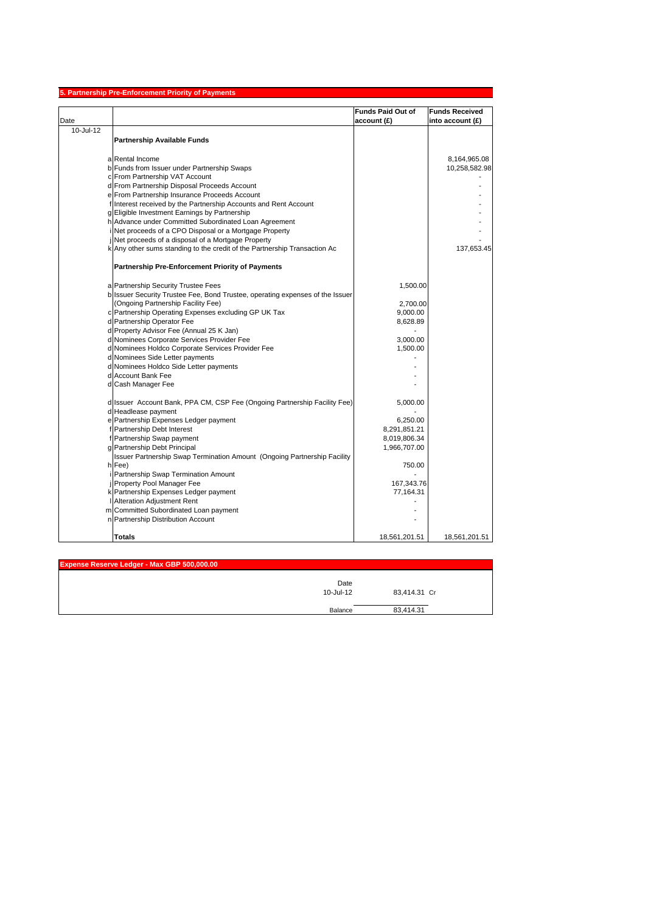|           | <b>Partnership Pre-Enforcement Priority of Payments</b>                       |                          |                       |
|-----------|-------------------------------------------------------------------------------|--------------------------|-----------------------|
|           |                                                                               | <b>Funds Paid Out of</b> | <b>Funds Received</b> |
| Date      |                                                                               | account (£)              | into account $(E)$    |
| 10-Jul-12 |                                                                               |                          |                       |
|           | <b>Partnership Available Funds</b>                                            |                          |                       |
|           |                                                                               |                          |                       |
|           | a Rental Income                                                               |                          | 8,164,965.08          |
|           | b Funds from Issuer under Partnership Swaps                                   |                          | 10,258,582.98         |
|           | c From Partnership VAT Account                                                |                          |                       |
|           | d From Partnership Disposal Proceeds Account                                  |                          |                       |
|           | e From Partnership Insurance Proceeds Account                                 |                          |                       |
|           | f Interest received by the Partnership Accounts and Rent Account              |                          |                       |
|           | g Eligible Investment Earnings by Partnership                                 |                          |                       |
|           | h Advance under Committed Subordinated Loan Agreement                         |                          |                       |
|           | Net proceeds of a CPO Disposal or a Mortgage Property                         |                          |                       |
|           | Net proceeds of a disposal of a Mortgage Property                             |                          |                       |
|           | k Any other sums standing to the credit of the Partnership Transaction Ac     |                          | 137,653.45            |
|           | <b>Partnership Pre-Enforcement Priority of Payments</b>                       |                          |                       |
|           | a Partnership Security Trustee Fees                                           | 1,500.00                 |                       |
|           | b Issuer Security Trustee Fee, Bond Trustee, operating expenses of the Issuer |                          |                       |
|           | (Ongoing Partnership Facility Fee)                                            | 2,700.00                 |                       |
|           | c Partnership Operating Expenses excluding GP UK Tax                          | 9,000.00                 |                       |
|           | d Partnership Operator Fee                                                    | 8,628.89                 |                       |
|           | d Property Advisor Fee (Annual 25 K Jan)                                      |                          |                       |
|           | d Nominees Corporate Services Provider Fee                                    | 3,000.00                 |                       |
|           | d Nominees Holdco Corporate Services Provider Fee                             | 1,500.00                 |                       |
|           | d Nominees Side Letter payments                                               |                          |                       |
|           | d Nominees Holdco Side Letter payments                                        |                          |                       |
|           | d Account Bank Fee                                                            |                          |                       |
|           | d Cash Manager Fee                                                            |                          |                       |
|           |                                                                               |                          |                       |
|           | d Issuer Account Bank, PPA CM, CSP Fee (Ongoing Partnership Facility Fee)     | 5,000.00                 |                       |
|           | d Headlease payment                                                           |                          |                       |
|           | e Partnership Expenses Ledger payment                                         | 6,250.00                 |                       |
|           | f Partnership Debt Interest                                                   | 8,291,851.21             |                       |
|           | f Partnership Swap payment                                                    | 8,019,806.34             |                       |
|           | g Partnership Debt Principal                                                  | 1,966,707.00             |                       |
|           | Issuer Partnership Swap Termination Amount (Ongoing Partnership Facility      |                          |                       |
|           | h Fee)                                                                        | 750.00                   |                       |
|           | Partnership Swap Termination Amount                                           |                          |                       |
|           | Property Pool Manager Fee                                                     | 167,343.76               |                       |
|           | k Partnership Expenses Ledger payment                                         | 77,164.31                |                       |
|           | Alteration Adjustment Rent                                                    |                          |                       |
|           | m Committed Subordinated Loan payment                                         |                          |                       |
|           | n Partnership Distribution Account                                            |                          |                       |
|           | <b>Totals</b>                                                                 | 18,561,201.51            | 18,561,201.51         |

| Expense Reserve Ledger - Max GBP 500,000.00 |                   |              |  |
|---------------------------------------------|-------------------|--------------|--|
|                                             | Date<br>10-Jul-12 | 83,414.31 Cr |  |
|                                             | Balance           | 83,414.31    |  |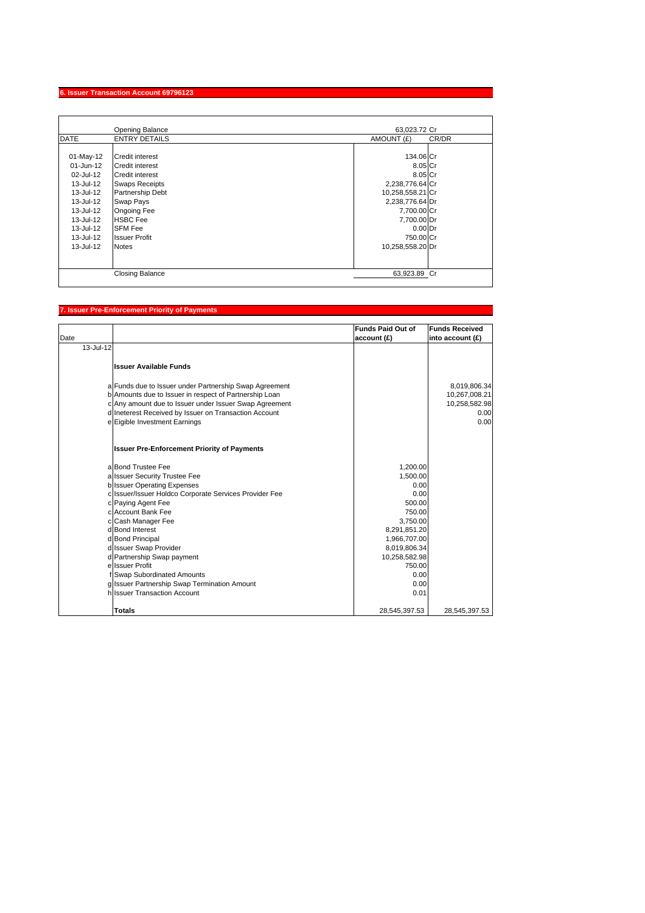## **6. Issuer Transaction Account 69796123**

|               | Opening Balance        | 63,023.72 Cr        |
|---------------|------------------------|---------------------|
| <b>DATE</b>   | <b>ENTRY DETAILS</b>   | AMOUNT (£)<br>CR/DR |
|               |                        |                     |
| 01-May-12     | Credit interest        | 134.06 Cr           |
| $01 - Jun-12$ | Credit interest        | 8.05 Cr             |
| 02-Jul-12     | Credit interest        | 8.05 Cr             |
| 13-Jul-12     | <b>Swaps Receipts</b>  | 2,238,776.64 Cr     |
| 13-Jul-12     | Partnership Debt       | 10,258,558.21 Cr    |
| 13-Jul-12     | Swap Pays              | 2,238,776.64 Dr     |
| 13-Jul-12     | Ongoing Fee            | 7,700.00 Cr         |
| 13-Jul-12     | <b>HSBC Fee</b>        | 7,700.00 Dr         |
| 13-Jul-12     | <b>SFM Fee</b>         | $0.00$ Dr           |
| 13-Jul-12     | <b>Issuer Profit</b>   | 750.00 Cr           |
| 13-Jul-12     | <b>Notes</b>           | 10,258,558.20 Dr    |
|               |                        |                     |
|               |                        |                     |
|               | <b>Closing Balance</b> | 63,923.89 Cr        |

# **7. Issuer Pre-Enforcement Priority of Payments**

| Date      |                                                        | <b>Funds Paid Out of</b><br>account (£) | <b>Funds Received</b><br>into account (£) |
|-----------|--------------------------------------------------------|-----------------------------------------|-------------------------------------------|
| 13-Jul-12 |                                                        |                                         |                                           |
|           | <b>Issuer Available Funds</b>                          |                                         |                                           |
|           | a Funds due to Issuer under Partnership Swap Agreement |                                         | 8,019,806.34                              |
|           | b Amounts due to Issuer in respect of Partnership Loan |                                         | 10,267,008.21                             |
|           | c Any amount due to Issuer under Issuer Swap Agreement |                                         | 10,258,582.98                             |
|           | d Ineterest Received by Issuer on Transaction Account  |                                         | 0.00                                      |
|           | e Eigible Investment Earnings                          |                                         | 0.00                                      |
|           | <b>Issuer Pre-Enforcement Priority of Payments</b>     |                                         |                                           |
|           | a Bond Trustee Fee                                     | 1,200.00                                |                                           |
|           | a Issuer Security Trustee Fee                          | 1.500.00                                |                                           |
|           | b Issuer Operating Expenses                            | 0.00                                    |                                           |
|           | c Issuer/Issuer Holdco Corporate Services Provider Fee | 0.00                                    |                                           |
|           | c Paying Agent Fee                                     | 500.00                                  |                                           |
|           | c Account Bank Fee                                     | 750.00                                  |                                           |
|           | c Cash Manager Fee                                     | 3,750.00                                |                                           |
|           | d Bond Interest                                        | 8,291,851.20                            |                                           |
|           | d Bond Principal                                       | 1,966,707.00                            |                                           |
|           | d Issuer Swap Provider<br>d Partnership Swap payment   | 8,019,806.34<br>10,258,582.98           |                                           |
|           | e Issuer Profit                                        | 750.00                                  |                                           |
|           | f Swap Subordinated Amounts                            | 0.00                                    |                                           |
|           | g Issuer Partnership Swap Termination Amount           | 0.00                                    |                                           |
|           | hilssuer Transaction Account                           | 0.01                                    |                                           |
|           | <b>Totals</b>                                          | 28,545,397.53                           | 28,545,397.53                             |